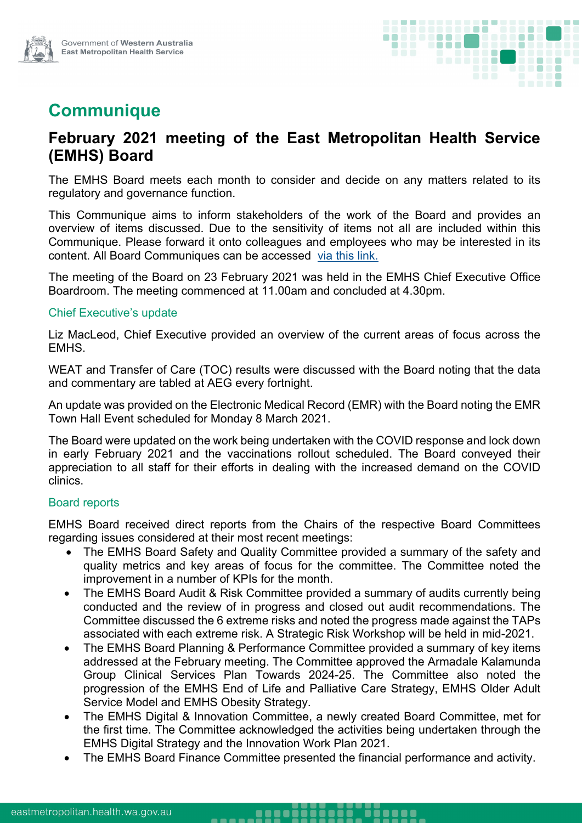

# **Communique**

## **February 2021 meeting of the East Metropolitan Health Service (EMHS) Board**

The EMHS Board meets each month to consider and decide on any matters related to its regulatory and governance function.

This Communique aims to inform stakeholders of the work of the Board and provides an overview of items discussed. Due to the sensitivity of items not all are included within this Communique. Please forward it onto colleagues and employees who may be interested in its content. All Board Communiques can be accessed [via this link.](https://emhs.health.wa.gov.au/About-Us/Health-Service-Board)

The meeting of the Board on 23 February 2021 was held in the EMHS Chief Executive Office Boardroom. The meeting commenced at 11.00am and concluded at 4.30pm.

#### Chief Executive's update

Liz MacLeod, Chief Executive provided an overview of the current areas of focus across the EMHS.

WEAT and Transfer of Care (TOC) results were discussed with the Board noting that the data and commentary are tabled at AEG every fortnight.

An update was provided on the Electronic Medical Record (EMR) with the Board noting the EMR Town Hall Event scheduled for Monday 8 March 2021.

The Board were updated on the work being undertaken with the COVID response and lock down in early February 2021 and the vaccinations rollout scheduled. The Board conveyed their appreciation to all staff for their efforts in dealing with the increased demand on the COVID clinics.

#### Board reports

EMHS Board received direct reports from the Chairs of the respective Board Committees regarding issues considered at their most recent meetings:

- The EMHS Board Safety and Quality Committee provided a summary of the safety and quality metrics and key areas of focus for the committee. The Committee noted the improvement in a number of KPIs for the month.
- The EMHS Board Audit & Risk Committee provided a summary of audits currently being conducted and the review of in progress and closed out audit recommendations. The Committee discussed the 6 extreme risks and noted the progress made against the TAPs associated with each extreme risk. A Strategic Risk Workshop will be held in mid-2021.
- The EMHS Board Planning & Performance Committee provided a summary of key items addressed at the February meeting. The Committee approved the Armadale Kalamunda Group Clinical Services Plan Towards 2024-25. The Committee also noted the progression of the EMHS End of Life and Palliative Care Strategy, EMHS Older Adult Service Model and EMHS Obesity Strategy.
- The EMHS Digital & Innovation Committee, a newly created Board Committee, met for the first time. The Committee acknowledged the activities being undertaken through the EMHS Digital Strategy and the Innovation Work Plan 2021.
- The EMHS Board Finance Committee presented the financial performance and activity.

<u>ioio ioene</u>

<u>aasoööö</u>

. . . . .